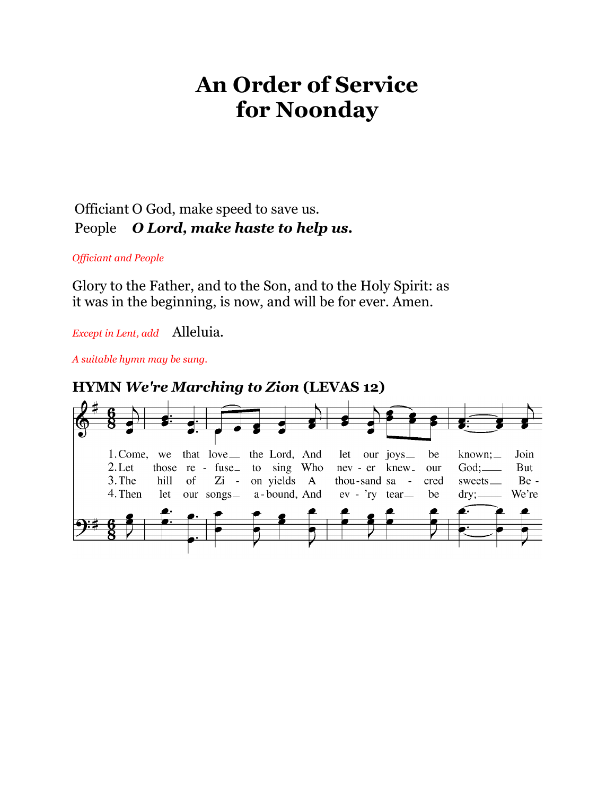# **An Order of Service for Noonday**

## Officiant O God, make speed to save us. People *O Lord, make haste to help us.*

#### *Officiant and People*

Glory to the Father, and to the Son, and to the Holy Spirit: as it was in the beginning, is now, and will be for ever. Amen.

*Except in Lent, add* Alleluia.

*A suitable hymn may be sung.*

## **HYMN** *We're Marching to Zion* **(LEVAS 12)**

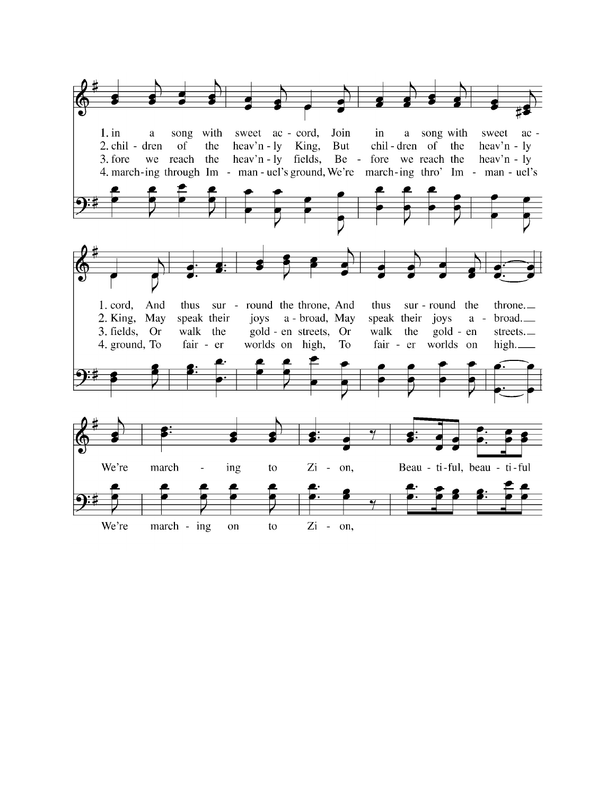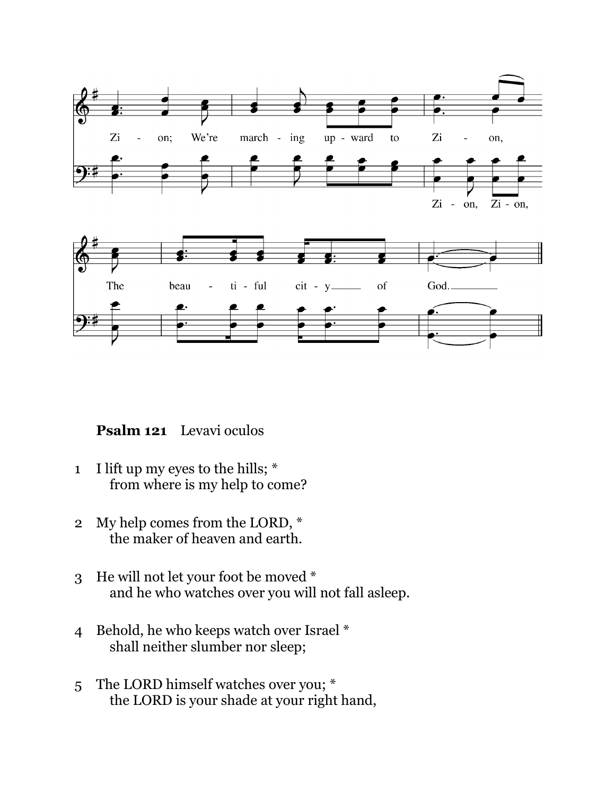

**Psalm 121** Levavi oculos

- 1 I lift up my eyes to the hills; \* from where is my help to come?
- 2 My help comes from the LORD, \* the maker of heaven and earth.
- 3 He will not let your foot be moved \* and he who watches over you will not fall asleep.
- 4 Behold, he who keeps watch over Israel \* shall neither slumber nor sleep;
- 5 The LORD himself watches over you; \* the LORD is your shade at your right hand,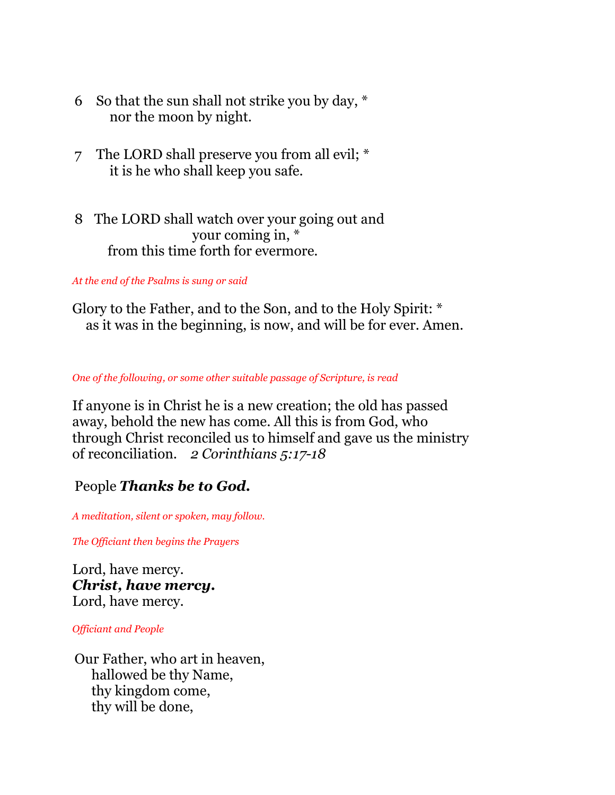- 6 So that the sun shall not strike you by day, \* nor the moon by night.
- 7 The LORD shall preserve you from all evil; \* it is he who shall keep you safe.
- 8 The LORD shall watch over your going out and your coming in, \* from this time forth for evermore.

*At the end of the Psalms is sung or said*

Glory to the Father, and to the Son, and to the Holy Spirit: \* as it was in the beginning, is now, and will be for ever. Amen.

*One of the following, or some other suitable passage of Scripture, is read*

If anyone is in Christ he is a new creation; the old has passed away, behold the new has come. All this is from God, who through Christ reconciled us to himself and gave us the ministry of reconciliation. *2 Corinthians 5:17-18*

## People *Thanks be to God.*

*A meditation, silent or spoken, may follow.*

*The Officiant then begins the Prayers*

Lord, have mercy. *Christ, have mercy.* Lord, have mercy.

*Officiant and People*

Our Father, who art in heaven, hallowed be thy Name, thy kingdom come, thy will be done,